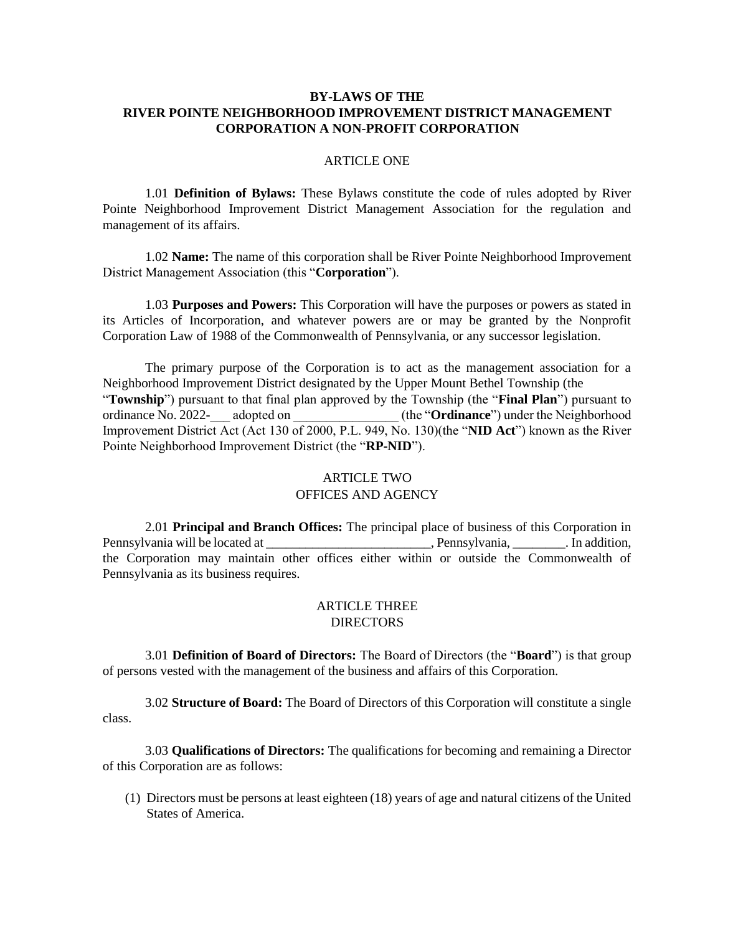### **BY-LAWS OF THE RIVER POINTE NEIGHBORHOOD IMPROVEMENT DISTRICT MANAGEMENT CORPORATION A NON-PROFIT CORPORATION**

### ARTICLE ONE

1.01 **Definition of Bylaws:** These Bylaws constitute the code of rules adopted by River Pointe Neighborhood Improvement District Management Association for the regulation and management of its affairs.

1.02 **Name:** The name of this corporation shall be River Pointe Neighborhood Improvement District Management Association (this "**Corporation**").

1.03 **Purposes and Powers:** This Corporation will have the purposes or powers as stated in its Articles of Incorporation, and whatever powers are or may be granted by the Nonprofit Corporation Law of 1988 of the Commonwealth of Pennsylvania, or any successor legislation.

The primary purpose of the Corporation is to act as the management association for a Neighborhood Improvement District designated by the Upper Mount Bethel Township (the "**Township**") pursuant to that final plan approved by the Township (the "**Final Plan**") pursuant to ordinance No. 2022-\_\_\_ adopted on \_\_\_\_\_\_\_\_\_\_\_\_\_\_\_\_ (the "**Ordinance**") under the Neighborhood Improvement District Act (Act 130 of 2000, P.L. 949, No. 130)(the "**NID Act**") known as the River Pointe Neighborhood Improvement District (the "**RP-NID**").

# ARTICLE TWO OFFICES AND AGENCY

2.01 **Principal and Branch Offices:** The principal place of business of this Corporation in Pennsylvania will be located at \_\_\_\_\_\_\_\_\_\_\_\_\_\_\_\_\_\_\_\_\_\_, Pennsylvania, \_\_\_\_\_\_\_\_. In addition, the Corporation may maintain other offices either within or outside the Commonwealth of Pennsylvania as its business requires.

### ARTICLE THREE **DIRECTORS**

3.01 **Definition of Board of Directors:** The Board of Directors (the "**Board**") is that group of persons vested with the management of the business and affairs of this Corporation.

3.02 **Structure of Board:** The Board of Directors of this Corporation will constitute a single class.

3.03 **Qualifications of Directors:** The qualifications for becoming and remaining a Director of this Corporation are as follows:

(1) Directors must be persons at least eighteen (18) years of age and natural citizens of the United States of America.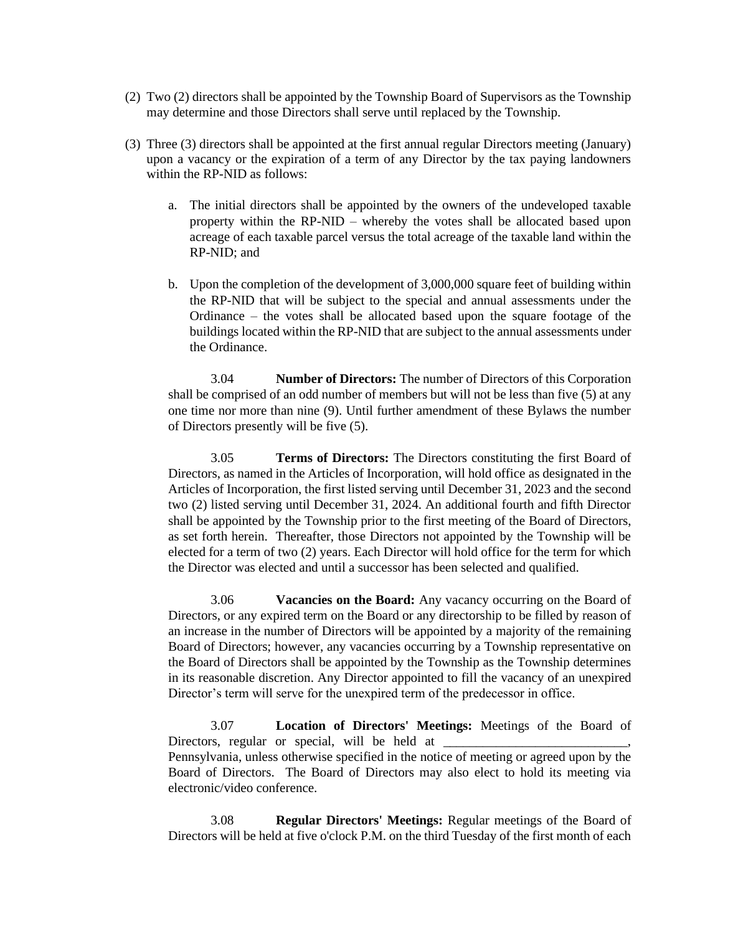- (2) Two (2) directors shall be appointed by the Township Board of Supervisors as the Township may determine and those Directors shall serve until replaced by the Township.
- (3) Three (3) directors shall be appointed at the first annual regular Directors meeting (January) upon a vacancy or the expiration of a term of any Director by the tax paying landowners within the RP-NID as follows:
	- a. The initial directors shall be appointed by the owners of the undeveloped taxable property within the RP-NID – whereby the votes shall be allocated based upon acreage of each taxable parcel versus the total acreage of the taxable land within the RP-NID; and
	- b. Upon the completion of the development of 3,000,000 square feet of building within the RP-NID that will be subject to the special and annual assessments under the Ordinance – the votes shall be allocated based upon the square footage of the buildings located within the RP-NID that are subject to the annual assessments under the Ordinance.

3.04 **Number of Directors:** The number of Directors of this Corporation shall be comprised of an odd number of members but will not be less than five (5) at any one time nor more than nine (9). Until further amendment of these Bylaws the number of Directors presently will be five (5).

3.05 **Terms of Directors:** The Directors constituting the first Board of Directors, as named in the Articles of Incorporation, will hold office as designated in the Articles of Incorporation, the first listed serving until December 31, 2023 and the second two (2) listed serving until December 31, 2024. An additional fourth and fifth Director shall be appointed by the Township prior to the first meeting of the Board of Directors, as set forth herein. Thereafter, those Directors not appointed by the Township will be elected for a term of two (2) years. Each Director will hold office for the term for which the Director was elected and until a successor has been selected and qualified.

3.06 **Vacancies on the Board:** Any vacancy occurring on the Board of Directors, or any expired term on the Board or any directorship to be filled by reason of an increase in the number of Directors will be appointed by a majority of the remaining Board of Directors; however, any vacancies occurring by a Township representative on the Board of Directors shall be appointed by the Township as the Township determines in its reasonable discretion. Any Director appointed to fill the vacancy of an unexpired Director's term will serve for the unexpired term of the predecessor in office.

3.07 **Location of Directors' Meetings:** Meetings of the Board of Directors, regular or special, will be held at Pennsylvania, unless otherwise specified in the notice of meeting or agreed upon by the Board of Directors. The Board of Directors may also elect to hold its meeting via electronic/video conference.

3.08 **Regular Directors' Meetings:** Regular meetings of the Board of Directors will be held at five o'clock P.M. on the third Tuesday of the first month of each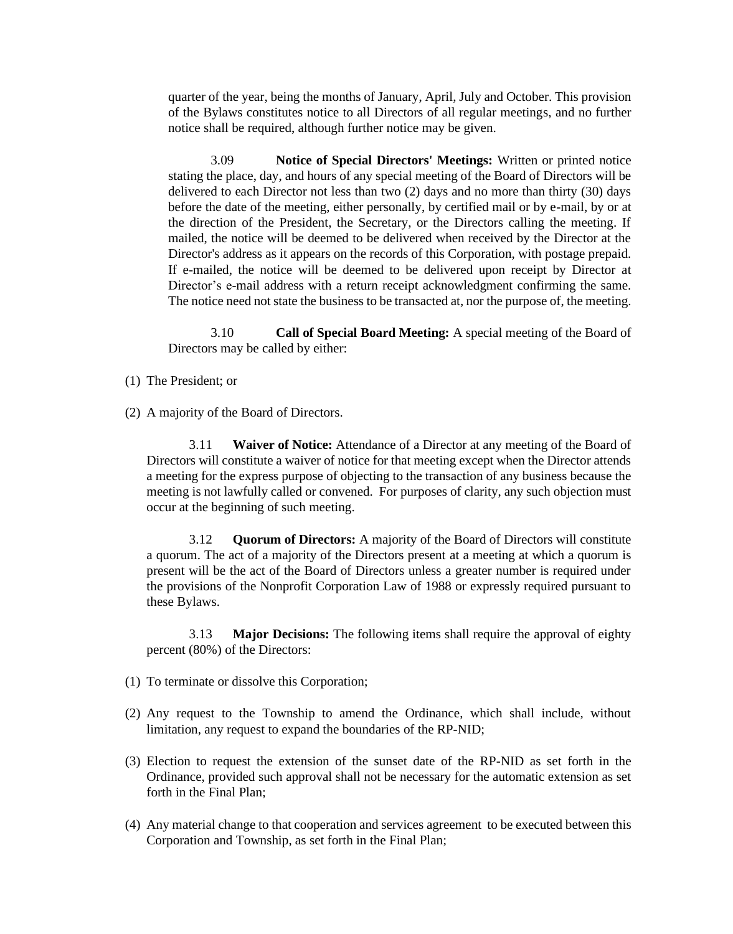quarter of the year, being the months of January, April, July and October. This provision of the Bylaws constitutes notice to all Directors of all regular meetings, and no further notice shall be required, although further notice may be given.

3.09 **Notice of Special Directors' Meetings:** Written or printed notice stating the place, day, and hours of any special meeting of the Board of Directors will be delivered to each Director not less than two (2) days and no more than thirty (30) days before the date of the meeting, either personally, by certified mail or by e-mail, by or at the direction of the President, the Secretary, or the Directors calling the meeting. If mailed, the notice will be deemed to be delivered when received by the Director at the Director's address as it appears on the records of this Corporation, with postage prepaid. If e-mailed, the notice will be deemed to be delivered upon receipt by Director at Director's e-mail address with a return receipt acknowledgment confirming the same. The notice need not state the business to be transacted at, nor the purpose of, the meeting.

3.10 **Call of Special Board Meeting:** A special meeting of the Board of Directors may be called by either:

- (1) The President; or
- (2) A majority of the Board of Directors.

3.11 **Waiver of Notice:** Attendance of a Director at any meeting of the Board of Directors will constitute a waiver of notice for that meeting except when the Director attends a meeting for the express purpose of objecting to the transaction of any business because the meeting is not lawfully called or convened. For purposes of clarity, any such objection must occur at the beginning of such meeting.

3.12 **Quorum of Directors:** A majority of the Board of Directors will constitute a quorum. The act of a majority of the Directors present at a meeting at which a quorum is present will be the act of the Board of Directors unless a greater number is required under the provisions of the Nonprofit Corporation Law of 1988 or expressly required pursuant to these Bylaws.

3.13 **Major Decisions:** The following items shall require the approval of eighty percent (80%) of the Directors:

- (1) To terminate or dissolve this Corporation;
- (2) Any request to the Township to amend the Ordinance, which shall include, without limitation, any request to expand the boundaries of the RP-NID;
- (3) Election to request the extension of the sunset date of the RP-NID as set forth in the Ordinance, provided such approval shall not be necessary for the automatic extension as set forth in the Final Plan;
- (4) Any material change to that cooperation and services agreement to be executed between this Corporation and Township, as set forth in the Final Plan;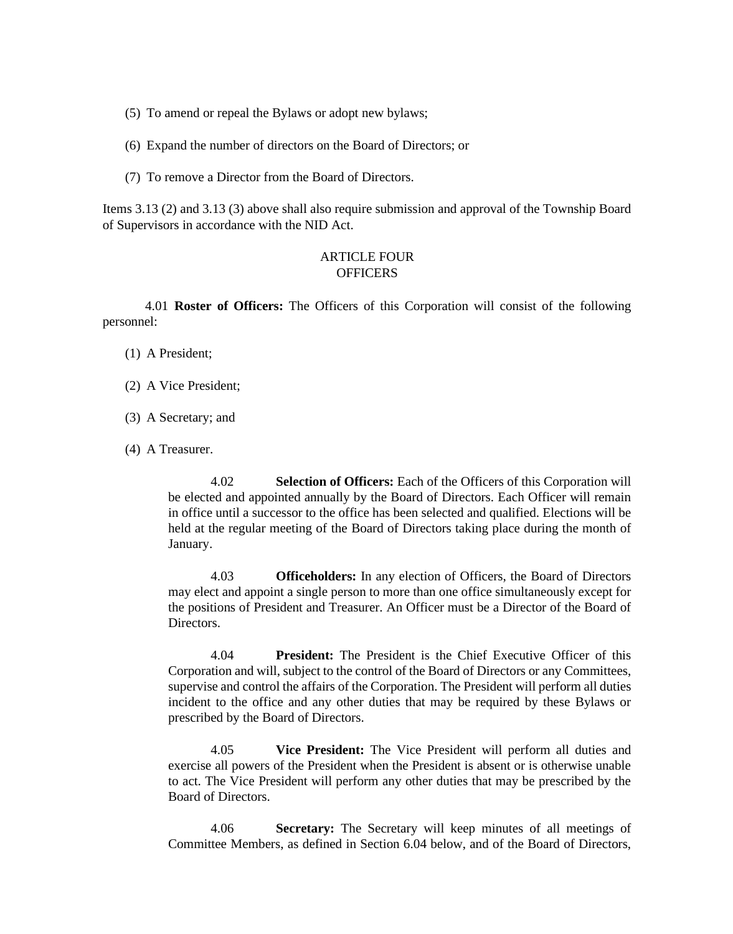- (5) To amend or repeal the Bylaws or adopt new bylaws;
- (6) Expand the number of directors on the Board of Directors; or
- (7) To remove a Director from the Board of Directors.

Items 3.13 (2) and 3.13 (3) above shall also require submission and approval of the Township Board of Supervisors in accordance with the NID Act.

### ARTICLE FOUR **OFFICERS**

4.01 **Roster of Officers:** The Officers of this Corporation will consist of the following personnel:

- (1) A President;
- (2) A Vice President;
- (3) A Secretary; and
- (4) A Treasurer.

4.02 **Selection of Officers:** Each of the Officers of this Corporation will be elected and appointed annually by the Board of Directors. Each Officer will remain in office until a successor to the office has been selected and qualified. Elections will be held at the regular meeting of the Board of Directors taking place during the month of January.

4.03 **Officeholders:** In any election of Officers, the Board of Directors may elect and appoint a single person to more than one office simultaneously except for the positions of President and Treasurer. An Officer must be a Director of the Board of Directors.

4.04 **President:** The President is the Chief Executive Officer of this Corporation and will, subject to the control of the Board of Directors or any Committees, supervise and control the affairs of the Corporation. The President will perform all duties incident to the office and any other duties that may be required by these Bylaws or prescribed by the Board of Directors.

4.05 **Vice President:** The Vice President will perform all duties and exercise all powers of the President when the President is absent or is otherwise unable to act. The Vice President will perform any other duties that may be prescribed by the Board of Directors.

4.06 **Secretary:** The Secretary will keep minutes of all meetings of Committee Members, as defined in Section 6.04 below, and of the Board of Directors,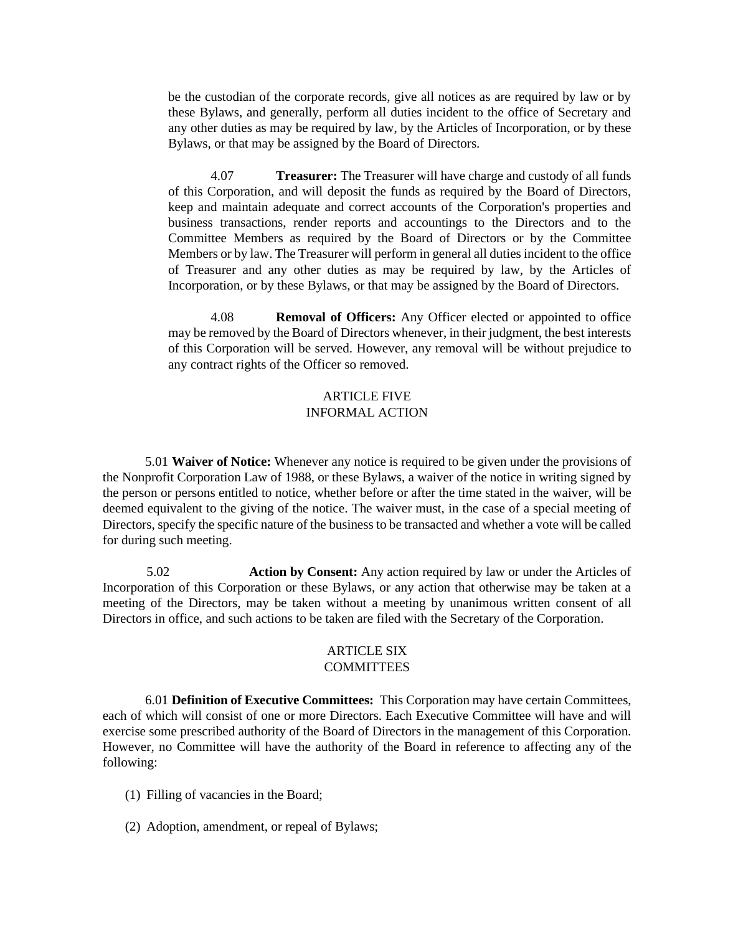be the custodian of the corporate records, give all notices as are required by law or by these Bylaws, and generally, perform all duties incident to the office of Secretary and any other duties as may be required by law, by the Articles of Incorporation, or by these Bylaws, or that may be assigned by the Board of Directors.

4.07 **Treasurer:** The Treasurer will have charge and custody of all funds of this Corporation, and will deposit the funds as required by the Board of Directors, keep and maintain adequate and correct accounts of the Corporation's properties and business transactions, render reports and accountings to the Directors and to the Committee Members as required by the Board of Directors or by the Committee Members or by law. The Treasurer will perform in general all duties incident to the office of Treasurer and any other duties as may be required by law, by the Articles of Incorporation, or by these Bylaws, or that may be assigned by the Board of Directors.

4.08 **Removal of Officers:** Any Officer elected or appointed to office may be removed by the Board of Directors whenever, in their judgment, the best interests of this Corporation will be served. However, any removal will be without prejudice to any contract rights of the Officer so removed.

# ARTICLE FIVE INFORMAL ACTION

5.01 **Waiver of Notice:** Whenever any notice is required to be given under the provisions of the Nonprofit Corporation Law of 1988, or these Bylaws, a waiver of the notice in writing signed by the person or persons entitled to notice, whether before or after the time stated in the waiver, will be deemed equivalent to the giving of the notice. The waiver must, in the case of a special meeting of Directors, specify the specific nature of the business to be transacted and whether a vote will be called for during such meeting.

5.02 **Action by Consent:** Any action required by law or under the Articles of Incorporation of this Corporation or these Bylaws, or any action that otherwise may be taken at a meeting of the Directors, may be taken without a meeting by unanimous written consent of all Directors in office, and such actions to be taken are filed with the Secretary of the Corporation.

#### ARTICLE SIX **COMMITTEES**

6.01 **Definition of Executive Committees:** This Corporation may have certain Committees, each of which will consist of one or more Directors. Each Executive Committee will have and will exercise some prescribed authority of the Board of Directors in the management of this Corporation. However, no Committee will have the authority of the Board in reference to affecting any of the following:

- (1) Filling of vacancies in the Board;
- (2) Adoption, amendment, or repeal of Bylaws;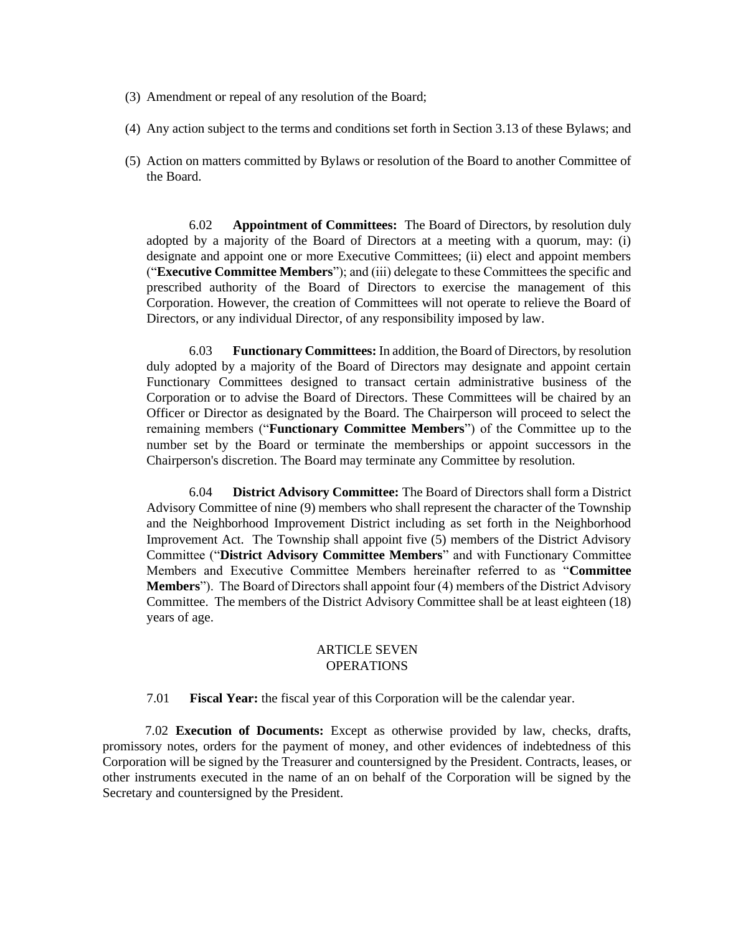- (3) Amendment or repeal of any resolution of the Board;
- (4) Any action subject to the terms and conditions set forth in Section 3.13 of these Bylaws; and
- (5) Action on matters committed by Bylaws or resolution of the Board to another Committee of the Board.

6.02 **Appointment of Committees:** The Board of Directors, by resolution duly adopted by a majority of the Board of Directors at a meeting with a quorum, may: (i) designate and appoint one or more Executive Committees; (ii) elect and appoint members ("**Executive Committee Members**"); and (iii) delegate to these Committees the specific and prescribed authority of the Board of Directors to exercise the management of this Corporation. However, the creation of Committees will not operate to relieve the Board of Directors, or any individual Director, of any responsibility imposed by law.

6.03 **Functionary Committees:** In addition, the Board of Directors, by resolution duly adopted by a majority of the Board of Directors may designate and appoint certain Functionary Committees designed to transact certain administrative business of the Corporation or to advise the Board of Directors. These Committees will be chaired by an Officer or Director as designated by the Board. The Chairperson will proceed to select the remaining members ("**Functionary Committee Members**") of the Committee up to the number set by the Board or terminate the memberships or appoint successors in the Chairperson's discretion. The Board may terminate any Committee by resolution.

6.04 **District Advisory Committee:** The Board of Directors shall form a District Advisory Committee of nine (9) members who shall represent the character of the Township and the Neighborhood Improvement District including as set forth in the Neighborhood Improvement Act. The Township shall appoint five (5) members of the District Advisory Committee ("**District Advisory Committee Members**" and with Functionary Committee Members and Executive Committee Members hereinafter referred to as "**Committee Members**"). The Board of Directors shall appoint four (4) members of the District Advisory Committee. The members of the District Advisory Committee shall be at least eighteen (18) years of age.

# ARTICLE SEVEN **OPERATIONS**

7.01 **Fiscal Year:** the fiscal year of this Corporation will be the calendar year.

7.02 **Execution of Documents:** Except as otherwise provided by law, checks, drafts, promissory notes, orders for the payment of money, and other evidences of indebtedness of this Corporation will be signed by the Treasurer and countersigned by the President. Contracts, leases, or other instruments executed in the name of an on behalf of the Corporation will be signed by the Secretary and countersigned by the President.